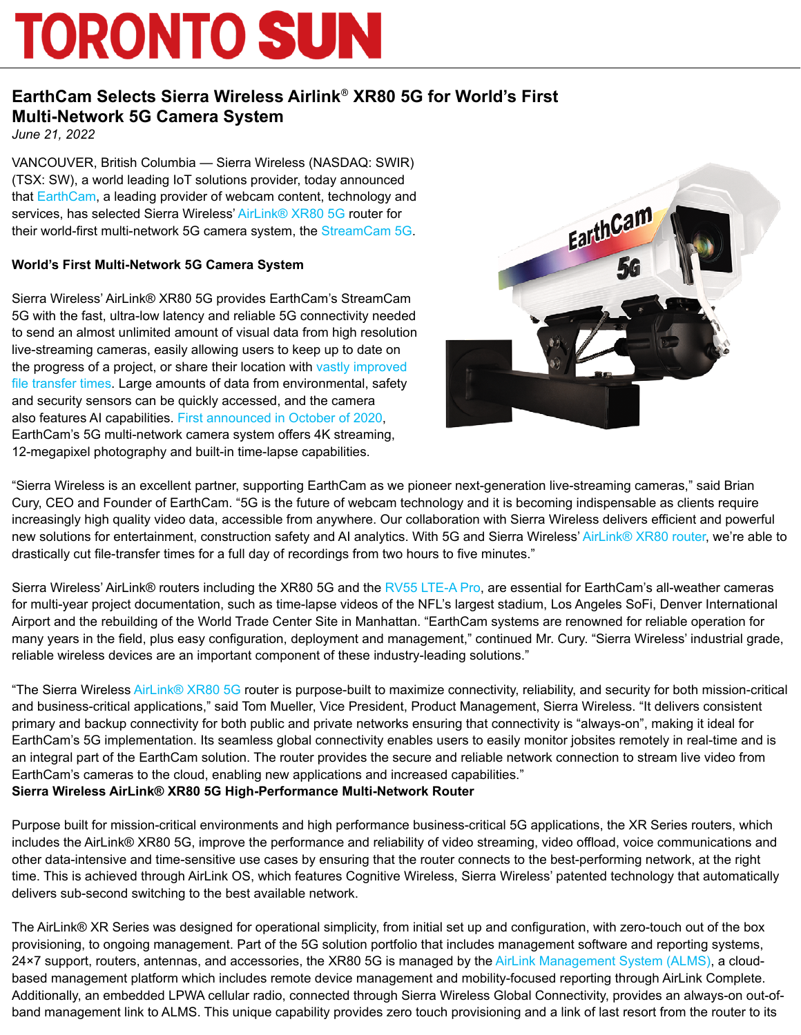# **TORONTO SUN**

## **EarthCam Selects Sierra Wireless Airlink**® **XR80 5G for World's First Multi-Network 5G Camera System**

*June 21, 2022*

VANCOUVER, British Columbia — Sierra Wireless (NASDAQ: SWIR) (TSX: SW), a world leading IoT solutions provider, today announced that [EarthCam](https://www.earthcam.net/), a leading provider of webcam content, technology and services, has selected Sierra Wireless' [AirLink® XR80 5G](https://www.sierrawireless.com/router-solutions/xr80/) router for their world-first multi-network 5G camera system, the [StreamCam 5G](https://www.earthcam.net/products/streamcam5G.php).

### **World's First Multi-Network 5G Camera System**

Sierra Wireless' AirLink® XR80 5G provides EarthCam's StreamCam 5G with the fast, ultra-low latency and reliable 5G connectivity needed to send an almost unlimited amount of visual data from high resolution live-streaming cameras, easily allowing users to keep up to date on the progress of a project, or share their location with vastly improved [file transfer times](https://www.verizon.com/about/news/5g-technology-brings-photography-forward). Large amounts of data from environmental, safety and security sensors can be quickly accessed, and the camera also features AI capabilities. [First announced in October of 2020,](https://www.earthcam.net/about/press.php?action=view&prid=661) EarthCam's 5G multi-network camera system offers 4K streaming, 12-megapixel photography and built-in time-lapse capabilities.



"Sierra Wireless is an excellent partner, supporting EarthCam as we pioneer next-generation live-streaming cameras," said Brian Cury, CEO and Founder of EarthCam. "5G is the future of webcam technology and it is becoming indispensable as clients require increasingly high quality video data, accessible from anywhere. Our collaboration with Sierra Wireless delivers efficient and powerful new solutions for entertainment, construction safety and AI analytics. With 5G and Sierra Wireless' [AirLink® XR80 router,](https://www.sierrawireless.com/router-solutions/xr80/) we're able to drastically cut file-transfer times for a full day of recordings from two hours to five minutes."

Sierra Wireless' AirLink® routers including the XR80 5G and the [RV55 LTE-A Pro](https://www.sierrawireless.com/router-solutions/rv55/), are essential for EarthCam's all-weather cameras for multi-year project documentation, such as time-lapse videos of the NFL's largest stadium, Los Angeles SoFi, Denver International Airport and the rebuilding of the World Trade Center Site in Manhattan. "EarthCam systems are renowned for reliable operation for many years in the field, plus easy configuration, deployment and management," continued Mr. Cury. "Sierra Wireless' industrial grade, reliable wireless devices are an important component of these industry-leading solutions."

"The Sierra Wireless [AirLink® XR80 5G](https://www.sierrawireless.com/router-solutions/xr80/) router is purpose-built to maximize connectivity, reliability, and security for both mission-critical and business-critical applications," said Tom Mueller, Vice President, Product Management, Sierra Wireless. "It delivers consistent primary and backup connectivity for both public and private networks ensuring that connectivity is "always-on", making it ideal for EarthCam's 5G implementation. Its seamless global connectivity enables users to easily monitor jobsites remotely in real-time and is an integral part of the EarthCam solution. The router provides the secure and reliable network connection to stream live video from EarthCam's cameras to the cloud, enabling new applications and increased capabilities." **Sierra Wireless AirLink® XR80 5G High-Performance Multi-Network Router**

Purpose built for mission-critical environments and high performance business-critical 5G applications, the XR Series routers, which includes the AirLink® XR80 5G, improve the performance and reliability of video streaming, video offload, voice communications and other data-intensive and time-sensitive use cases by ensuring that the router connects to the best-performing network, at the right time. This is achieved through AirLink OS, which features Cognitive Wireless, Sierra Wireless' patented technology that automatically delivers sub-second switching to the best available network.

The AirLink® XR Series was designed for operational simplicity, from initial set up and configuration, with zero-touch out of the box provisioning, to ongoing management. Part of the 5G solution portfolio that includes management software and reporting systems, 24×7 support, routers, antennas, and accessories, the XR80 5G is managed by the [AirLink Management System \(ALMS\)](https://cts.businesswire.com/ct/CT?id=smartlink&url=https%3A%2F%2Fwww.sierrawireless.com%2Fproducts-and-solutions%2Frouters-gateways%2Falms%2F&esheet=52756103&newsitemid=20220621005403&lan=en-US&anchor=AirLink+Management+System+%28ALMS%29&index=9&md5=edbcc90549f2bcbee4dfc2424a0f41be), a cloudbased management platform which includes remote device management and mobility-focused reporting through AirLink Complete. Additionally, an embedded LPWA cellular radio, connected through Sierra Wireless Global Connectivity, provides an always-on out-ofband management link to ALMS. This unique capability provides zero touch provisioning and a link of last resort from the router to its